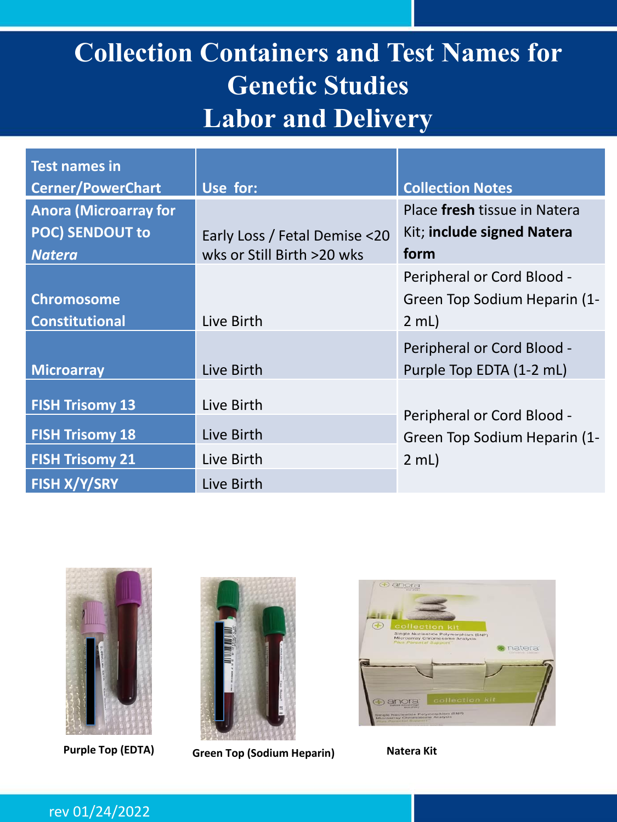### **Collection Containers and Test Names for Genetic Studies Labor and Delivery**

| <b>Test names in</b>         |                               |                              |
|------------------------------|-------------------------------|------------------------------|
| <b>Cerner/PowerChart</b>     | Use for:                      | <b>Collection Notes</b>      |
| <b>Anora (Microarray for</b> |                               | Place fresh tissue in Natera |
| <b>POC) SENDOUT to</b>       | Early Loss / Fetal Demise <20 | Kit; include signed Natera   |
| <b>Natera</b>                | wks or Still Birth >20 wks    | form                         |
|                              |                               | Peripheral or Cord Blood -   |
| <b>Chromosome</b>            |                               | Green Top Sodium Heparin (1- |
| <b>Constitutional</b>        | Live Birth                    | $2$ mL)                      |
|                              |                               | Peripheral or Cord Blood -   |
| <b>Microarray</b>            | Live Birth                    | Purple Top EDTA (1-2 mL)     |
| <b>FISH Trisomy 13</b>       | Live Birth                    | Peripheral or Cord Blood -   |
| <b>FISH Trisomy 18</b>       | Live Birth                    | Green Top Sodium Heparin (1- |
| <b>FISH Trisomy 21</b>       | Live Birth                    | $2$ mL)                      |
| <b>FISH X/Y/SRY</b>          | Live Birth                    |                              |





**Purple Top (EDTA) Green Top (Sodium Heparin) Natera Kit**

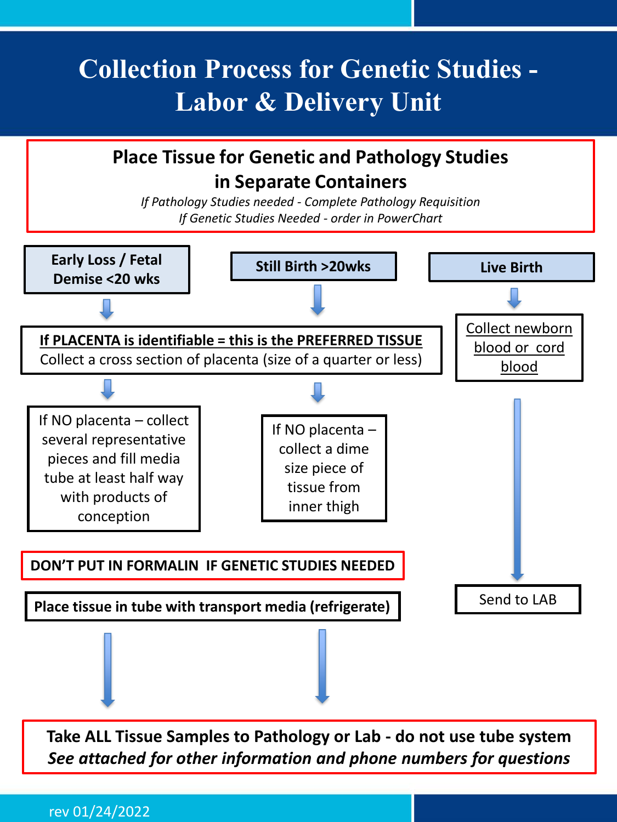### **Collection Process for Genetic Studies - Labor & Delivery Unit**



**Take ALL Tissue Samples to Pathology or Lab - do not use tube system** *See attached for other information and phone numbers for questions*

rev 01/24/2022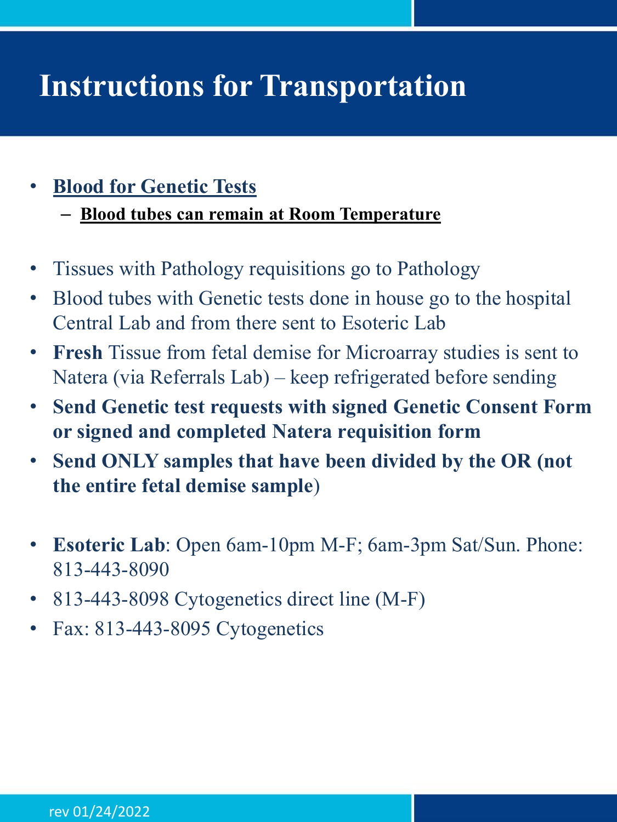## **Instructions for Transportation**

#### • **Blood for Genetic Tests**

– **Blood tubes can remain at Room Temperature**

- Tissues with Pathology requisitions go to Pathology
- Blood tubes with Genetic tests done in house go to the hospital Central Lab and from there sent to Esoteric Lab
- **Fresh** Tissue from fetal demise for Microarray studies is sent to Natera (via Referrals Lab) – keep refrigerated before sending
- **Send Genetic test requests with signed Genetic Consent Form or signed and completed Natera requisition form**
- **Send ONLY samples that have been divided by the OR (not the entire fetal demise sample**)
- **Esoteric Lab**: Open 6am-10pm M-F; 6am-3pm Sat/Sun. Phone: 813-443-8090
- 813-443-8098 Cytogenetics direct line (M-F)
- Fax: 813-443-8095 Cytogenetics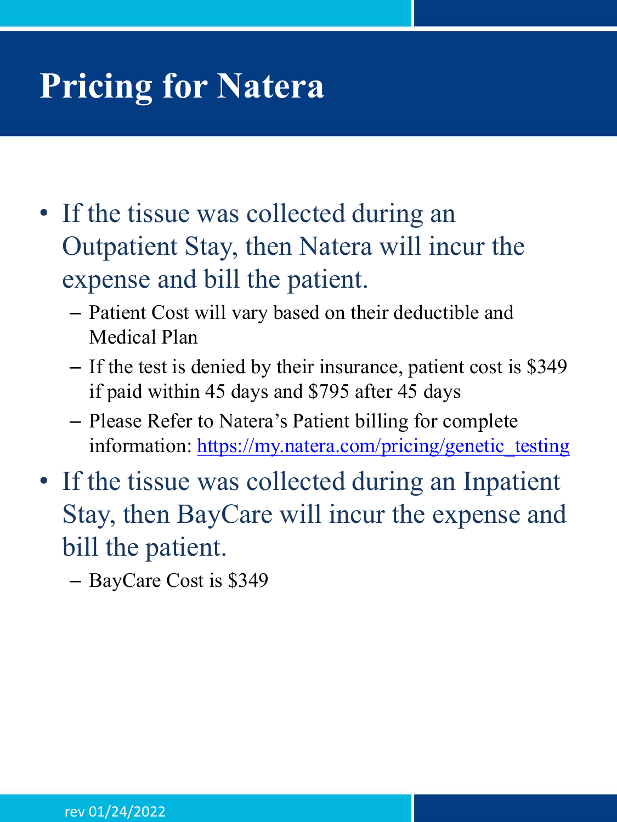## **Pricing for Natera**

- If the tissue was collected during an Outpatient Stay, then Natera will incur the expense and bill the patient.
	- Patient Cost will vary based on their deductible and Medical Plan
	- If the test is denied by their insurance, patient cost is \$349 if paid within 45 days and \$795 after 45 days
	- Please Refer to Natera's Patient billing for complete information: [https://my.natera.com/pricing/genetic\\_testing](https://my.natera.com/pricing/genetic_testing)
- If the tissue was collected during an Inpatient Stay, then BayCare will incur the expense and bill the patient.

– BayCare Cost is \$349